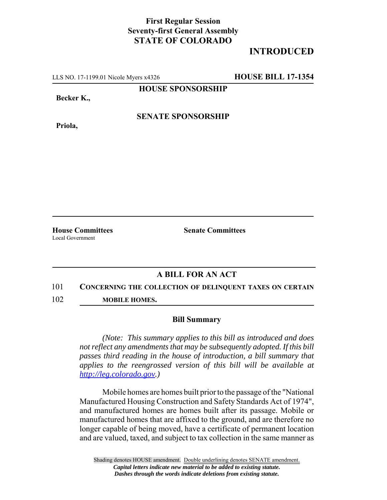## **First Regular Session Seventy-first General Assembly STATE OF COLORADO**

# **INTRODUCED**

LLS NO. 17-1199.01 Nicole Myers x4326 **HOUSE BILL 17-1354**

**HOUSE SPONSORSHIP**

**Becker K.,**

**Priola,**

**SENATE SPONSORSHIP**

Local Government

**House Committees Senate Committees** 

## **A BILL FOR AN ACT**

### 101 **CONCERNING THE COLLECTION OF DELINQUENT TAXES ON CERTAIN**

102 **MOBILE HOMES.**

#### **Bill Summary**

*(Note: This summary applies to this bill as introduced and does not reflect any amendments that may be subsequently adopted. If this bill passes third reading in the house of introduction, a bill summary that applies to the reengrossed version of this bill will be available at http://leg.colorado.gov.)*

Mobile homes are homes built prior to the passage of the "National Manufactured Housing Construction and Safety Standards Act of 1974", and manufactured homes are homes built after its passage. Mobile or manufactured homes that are affixed to the ground, and are therefore no longer capable of being moved, have a certificate of permanent location and are valued, taxed, and subject to tax collection in the same manner as

Shading denotes HOUSE amendment. Double underlining denotes SENATE amendment. *Capital letters indicate new material to be added to existing statute. Dashes through the words indicate deletions from existing statute.*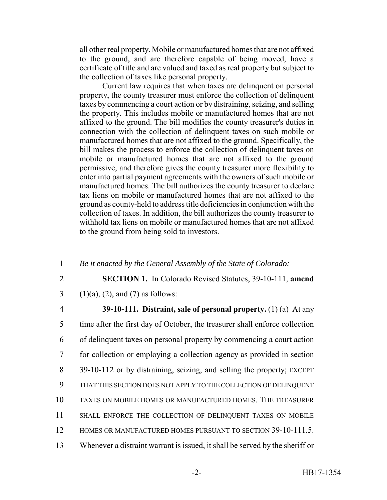all other real property. Mobile or manufactured homes that are not affixed to the ground, and are therefore capable of being moved, have a certificate of title and are valued and taxed as real property but subject to the collection of taxes like personal property.

Current law requires that when taxes are delinquent on personal property, the county treasurer must enforce the collection of delinquent taxes by commencing a court action or by distraining, seizing, and selling the property. This includes mobile or manufactured homes that are not affixed to the ground. The bill modifies the county treasurer's duties in connection with the collection of delinquent taxes on such mobile or manufactured homes that are not affixed to the ground. Specifically, the bill makes the process to enforce the collection of delinquent taxes on mobile or manufactured homes that are not affixed to the ground permissive, and therefore gives the county treasurer more flexibility to enter into partial payment agreements with the owners of such mobile or manufactured homes. The bill authorizes the county treasurer to declare tax liens on mobile or manufactured homes that are not affixed to the ground as county-held to address title deficiencies in conjunction with the collection of taxes. In addition, the bill authorizes the county treasurer to withhold tax liens on mobile or manufactured homes that are not affixed to the ground from being sold to investors.

- 1 *Be it enacted by the General Assembly of the State of Colorado:*
- 
- 2 **SECTION 1.** In Colorado Revised Statutes, 39-10-111, **amend**
- 3 (1)(a), (2), and (7) as follows:
- 4 **39-10-111. Distraint, sale of personal property.** (1) (a) At any 5 time after the first day of October, the treasurer shall enforce collection 6 of delinquent taxes on personal property by commencing a court action 7 for collection or employing a collection agency as provided in section 8 39-10-112 or by distraining, seizing, and selling the property; EXCEPT 9 THAT THIS SECTION DOES NOT APPLY TO THE COLLECTION OF DELINQUENT 10 TAXES ON MOBILE HOMES OR MANUFACTURED HOMES. THE TREASURER 11 SHALL ENFORCE THE COLLECTION OF DELINQUENT TAXES ON MOBILE 12 HOMES OR MANUFACTURED HOMES PURSUANT TO SECTION 39-10-111.5. 13 Whenever a distraint warrant is issued, it shall be served by the sheriff or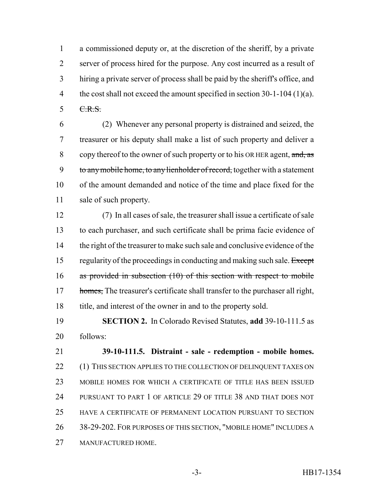a commissioned deputy or, at the discretion of the sheriff, by a private server of process hired for the purpose. Any cost incurred as a result of hiring a private server of process shall be paid by the sheriff's office, and 4 the cost shall not exceed the amount specified in section 30-1-104 (1)(a). C.R.S.

 (2) Whenever any personal property is distrained and seized, the treasurer or his deputy shall make a list of such property and deliver a 8 copy thereof to the owner of such property or to his OR HER agent, and, as 9 to any mobile home, to any lienholder of record, together with a statement of the amount demanded and notice of the time and place fixed for the sale of such property.

 (7) In all cases of sale, the treasurer shall issue a certificate of sale to each purchaser, and such certificate shall be prima facie evidence of 14 the right of the treasurer to make such sale and conclusive evidence of the 15 regularity of the proceedings in conducting and making such sale. Except as provided in subsection (10) of this section with respect to mobile 17 homes, The treasurer's certificate shall transfer to the purchaser all right, title, and interest of the owner in and to the property sold.

 **SECTION 2.** In Colorado Revised Statutes, **add** 39-10-111.5 as follows:

 **39-10-111.5. Distraint - sale - redemption - mobile homes.** 22 (1) THIS SECTION APPLIES TO THE COLLECTION OF DELINQUENT TAXES ON MOBILE HOMES FOR WHICH A CERTIFICATE OF TITLE HAS BEEN ISSUED PURSUANT TO PART 1 OF ARTICLE 29 OF TITLE 38 AND THAT DOES NOT HAVE A CERTIFICATE OF PERMANENT LOCATION PURSUANT TO SECTION 38-29-202. FOR PURPOSES OF THIS SECTION, "MOBILE HOME" INCLUDES A MANUFACTURED HOME.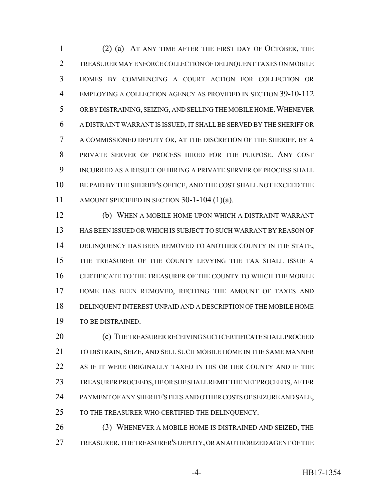(2) (a) AT ANY TIME AFTER THE FIRST DAY OF OCTOBER, THE TREASURER MAY ENFORCE COLLECTION OF DELINQUENT TAXES ON MOBILE HOMES BY COMMENCING A COURT ACTION FOR COLLECTION OR EMPLOYING A COLLECTION AGENCY AS PROVIDED IN SECTION 39-10-112 OR BY DISTRAINING, SEIZING, AND SELLING THE MOBILE HOME.WHENEVER A DISTRAINT WARRANT IS ISSUED, IT SHALL BE SERVED BY THE SHERIFF OR A COMMISSIONED DEPUTY OR, AT THE DISCRETION OF THE SHERIFF, BY A PRIVATE SERVER OF PROCESS HIRED FOR THE PURPOSE. ANY COST INCURRED AS A RESULT OF HIRING A PRIVATE SERVER OF PROCESS SHALL BE PAID BY THE SHERIFF'S OFFICE, AND THE COST SHALL NOT EXCEED THE AMOUNT SPECIFIED IN SECTION 30-1-104 (1)(a).

 (b) WHEN A MOBILE HOME UPON WHICH A DISTRAINT WARRANT HAS BEEN ISSUED OR WHICH IS SUBJECT TO SUCH WARRANT BY REASON OF DELINQUENCY HAS BEEN REMOVED TO ANOTHER COUNTY IN THE STATE, THE TREASURER OF THE COUNTY LEVYING THE TAX SHALL ISSUE A CERTIFICATE TO THE TREASURER OF THE COUNTY TO WHICH THE MOBILE HOME HAS BEEN REMOVED, RECITING THE AMOUNT OF TAXES AND DELINQUENT INTEREST UNPAID AND A DESCRIPTION OF THE MOBILE HOME TO BE DISTRAINED.

 (c) THE TREASURER RECEIVING SUCH CERTIFICATE SHALL PROCEED TO DISTRAIN, SEIZE, AND SELL SUCH MOBILE HOME IN THE SAME MANNER AS IF IT WERE ORIGINALLY TAXED IN HIS OR HER COUNTY AND IF THE TREASURER PROCEEDS, HE OR SHE SHALL REMIT THE NET PROCEEDS, AFTER PAYMENT OF ANY SHERIFF'S FEES AND OTHER COSTS OF SEIZURE AND SALE, TO THE TREASURER WHO CERTIFIED THE DELINQUENCY.

 (3) WHENEVER A MOBILE HOME IS DISTRAINED AND SEIZED, THE TREASURER, THE TREASURER'S DEPUTY, OR AN AUTHORIZED AGENT OF THE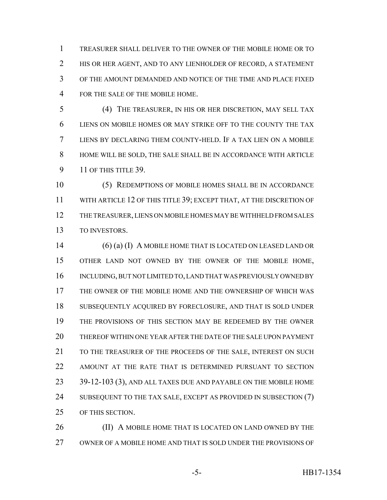TREASURER SHALL DELIVER TO THE OWNER OF THE MOBILE HOME OR TO HIS OR HER AGENT, AND TO ANY LIENHOLDER OF RECORD, A STATEMENT OF THE AMOUNT DEMANDED AND NOTICE OF THE TIME AND PLACE FIXED FOR THE SALE OF THE MOBILE HOME.

 (4) THE TREASURER, IN HIS OR HER DISCRETION, MAY SELL TAX LIENS ON MOBILE HOMES OR MAY STRIKE OFF TO THE COUNTY THE TAX LIENS BY DECLARING THEM COUNTY-HELD. IF A TAX LIEN ON A MOBILE HOME WILL BE SOLD, THE SALE SHALL BE IN ACCORDANCE WITH ARTICLE 11 OF THIS TITLE 39.

 (5) REDEMPTIONS OF MOBILE HOMES SHALL BE IN ACCORDANCE WITH ARTICLE 12 OF THIS TITLE 39; EXCEPT THAT, AT THE DISCRETION OF THE TREASURER, LIENS ON MOBILE HOMES MAY BE WITHHELD FROM SALES TO INVESTORS.

 (6) (a) (I) A MOBILE HOME THAT IS LOCATED ON LEASED LAND OR OTHER LAND NOT OWNED BY THE OWNER OF THE MOBILE HOME, INCLUDING, BUT NOT LIMITED TO, LAND THAT WAS PREVIOUSLY OWNED BY THE OWNER OF THE MOBILE HOME AND THE OWNERSHIP OF WHICH WAS SUBSEQUENTLY ACQUIRED BY FORECLOSURE, AND THAT IS SOLD UNDER THE PROVISIONS OF THIS SECTION MAY BE REDEEMED BY THE OWNER THEREOF WITHIN ONE YEAR AFTER THE DATE OF THE SALE UPON PAYMENT 21 TO THE TREASURER OF THE PROCEEDS OF THE SALE, INTEREST ON SUCH AMOUNT AT THE RATE THAT IS DETERMINED PURSUANT TO SECTION 39-12-103 (3), AND ALL TAXES DUE AND PAYABLE ON THE MOBILE HOME 24 SUBSEQUENT TO THE TAX SALE, EXCEPT AS PROVIDED IN SUBSECTION (7) OF THIS SECTION.

**(II) A MOBILE HOME THAT IS LOCATED ON LAND OWNED BY THE** OWNER OF A MOBILE HOME AND THAT IS SOLD UNDER THE PROVISIONS OF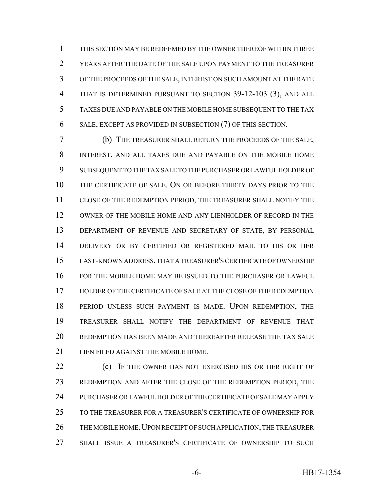THIS SECTION MAY BE REDEEMED BY THE OWNER THEREOF WITHIN THREE YEARS AFTER THE DATE OF THE SALE UPON PAYMENT TO THE TREASURER OF THE PROCEEDS OF THE SALE, INTEREST ON SUCH AMOUNT AT THE RATE THAT IS DETERMINED PURSUANT TO SECTION 39-12-103 (3), AND ALL TAXES DUE AND PAYABLE ON THE MOBILE HOME SUBSEQUENT TO THE TAX SALE, EXCEPT AS PROVIDED IN SUBSECTION (7) OF THIS SECTION.

 (b) THE TREASURER SHALL RETURN THE PROCEEDS OF THE SALE, INTEREST, AND ALL TAXES DUE AND PAYABLE ON THE MOBILE HOME SUBSEQUENT TO THE TAX SALE TO THE PURCHASER OR LAWFUL HOLDER OF THE CERTIFICATE OF SALE. ON OR BEFORE THIRTY DAYS PRIOR TO THE CLOSE OF THE REDEMPTION PERIOD, THE TREASURER SHALL NOTIFY THE OWNER OF THE MOBILE HOME AND ANY LIENHOLDER OF RECORD IN THE DEPARTMENT OF REVENUE AND SECRETARY OF STATE, BY PERSONAL DELIVERY OR BY CERTIFIED OR REGISTERED MAIL TO HIS OR HER LAST-KNOWN ADDRESS, THAT A TREASURER'S CERTIFICATE OF OWNERSHIP FOR THE MOBILE HOME MAY BE ISSUED TO THE PURCHASER OR LAWFUL HOLDER OF THE CERTIFICATE OF SALE AT THE CLOSE OF THE REDEMPTION PERIOD UNLESS SUCH PAYMENT IS MADE. UPON REDEMPTION, THE TREASURER SHALL NOTIFY THE DEPARTMENT OF REVENUE THAT REDEMPTION HAS BEEN MADE AND THEREAFTER RELEASE THE TAX SALE LIEN FILED AGAINST THE MOBILE HOME.

**(c)** IF THE OWNER HAS NOT EXERCISED HIS OR HER RIGHT OF REDEMPTION AND AFTER THE CLOSE OF THE REDEMPTION PERIOD, THE PURCHASER OR LAWFUL HOLDER OF THE CERTIFICATE OF SALE MAY APPLY TO THE TREASURER FOR A TREASURER'S CERTIFICATE OF OWNERSHIP FOR 26 THE MOBILE HOME. UPON RECEIPT OF SUCH APPLICATION, THE TREASURER SHALL ISSUE A TREASURER'S CERTIFICATE OF OWNERSHIP TO SUCH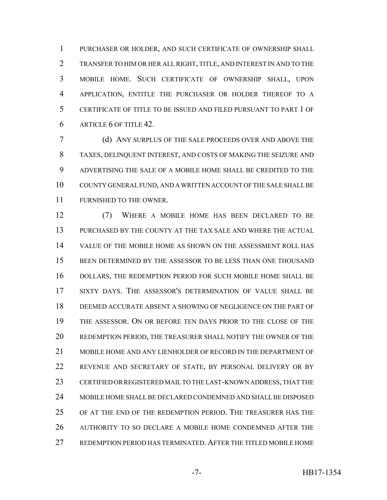PURCHASER OR HOLDER, AND SUCH CERTIFICATE OF OWNERSHIP SHALL TRANSFER TO HIM OR HER ALL RIGHT, TITLE, AND INTEREST IN AND TO THE MOBILE HOME. SUCH CERTIFICATE OF OWNERSHIP SHALL, UPON APPLICATION, ENTITLE THE PURCHASER OR HOLDER THEREOF TO A CERTIFICATE OF TITLE TO BE ISSUED AND FILED PURSUANT TO PART 1 OF ARTICLE 6 OF TITLE 42.

 (d) ANY SURPLUS OF THE SALE PROCEEDS OVER AND ABOVE THE TAXES, DELINQUENT INTEREST, AND COSTS OF MAKING THE SEIZURE AND ADVERTISING THE SALE OF A MOBILE HOME SHALL BE CREDITED TO THE COUNTY GENERAL FUND, AND A WRITTEN ACCOUNT OF THE SALE SHALL BE FURNISHED TO THE OWNER.

 (7) WHERE A MOBILE HOME HAS BEEN DECLARED TO BE PURCHASED BY THE COUNTY AT THE TAX SALE AND WHERE THE ACTUAL VALUE OF THE MOBILE HOME AS SHOWN ON THE ASSESSMENT ROLL HAS BEEN DETERMINED BY THE ASSESSOR TO BE LESS THAN ONE THOUSAND DOLLARS, THE REDEMPTION PERIOD FOR SUCH MOBILE HOME SHALL BE SIXTY DAYS. THE ASSESSOR'S DETERMINATION OF VALUE SHALL BE DEEMED ACCURATE ABSENT A SHOWING OF NEGLIGENCE ON THE PART OF THE ASSESSOR. ON OR BEFORE TEN DAYS PRIOR TO THE CLOSE OF THE REDEMPTION PERIOD, THE TREASURER SHALL NOTIFY THE OWNER OF THE MOBILE HOME AND ANY LIENHOLDER OF RECORD IN THE DEPARTMENT OF REVENUE AND SECRETARY OF STATE, BY PERSONAL DELIVERY OR BY CERTIFIED OR REGISTERED MAIL TO THE LAST-KNOWN ADDRESS, THAT THE MOBILE HOME SHALL BE DECLARED CONDEMNED AND SHALL BE DISPOSED OF AT THE END OF THE REDEMPTION PERIOD. THE TREASURER HAS THE AUTHORITY TO SO DECLARE A MOBILE HOME CONDEMNED AFTER THE REDEMPTION PERIOD HAS TERMINATED. AFTER THE TITLED MOBILE HOME